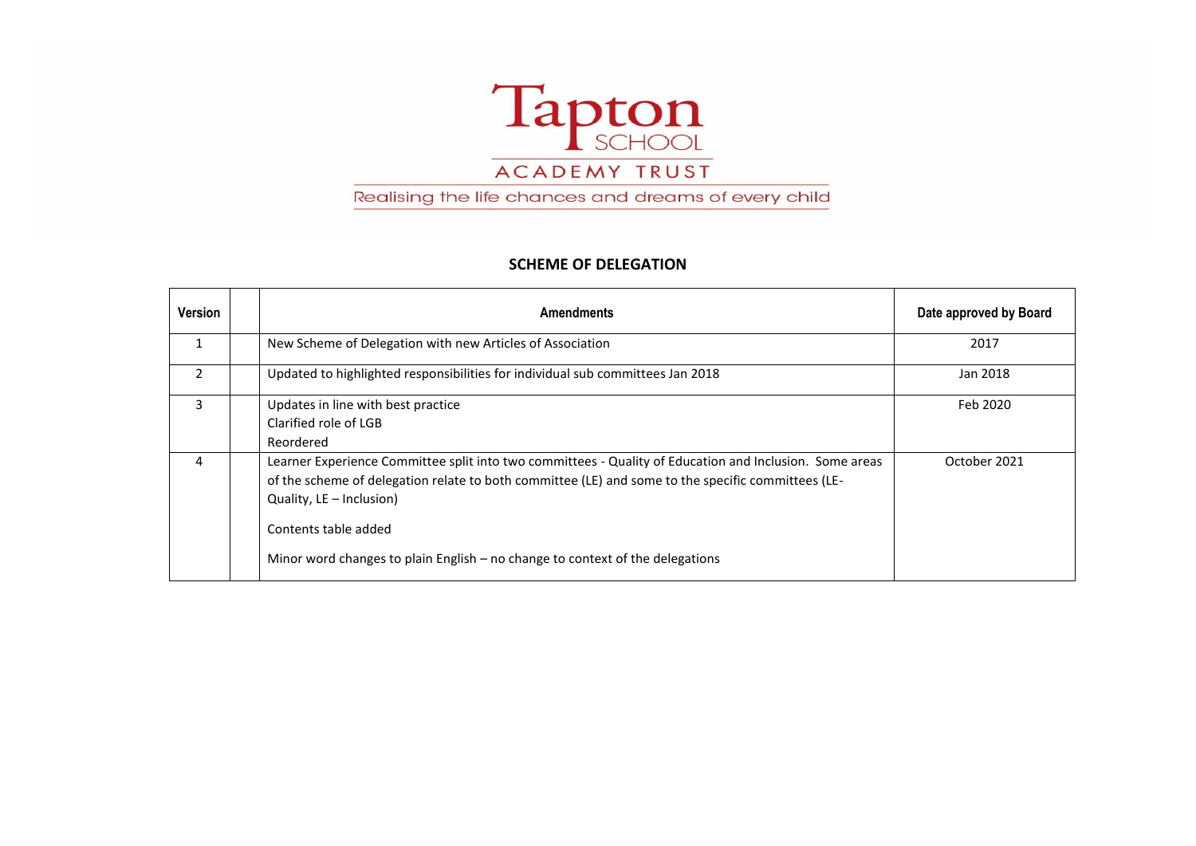

Realising the life chances and dreams of every child

## **SCHEME OF DELEGATION**

| Version | <b>Amendments</b>                                                                                                                                                                                                                                                                                                                                  | Date approved by Board |
|---------|----------------------------------------------------------------------------------------------------------------------------------------------------------------------------------------------------------------------------------------------------------------------------------------------------------------------------------------------------|------------------------|
| 1       | New Scheme of Delegation with new Articles of Association                                                                                                                                                                                                                                                                                          | 2017                   |
| 2       | Updated to highlighted responsibilities for individual sub committees Jan 2018                                                                                                                                                                                                                                                                     | Jan 2018               |
| 3       | Updates in line with best practice<br>Clarified role of LGB<br>Reordered                                                                                                                                                                                                                                                                           | Feb 2020               |
| 4       | Learner Experience Committee split into two committees - Quality of Education and Inclusion. Some areas<br>of the scheme of delegation relate to both committee (LE) and some to the specific committees (LE-<br>Quality, LE - Inclusion)<br>Contents table added<br>Minor word changes to plain English - no change to context of the delegations | October 2021           |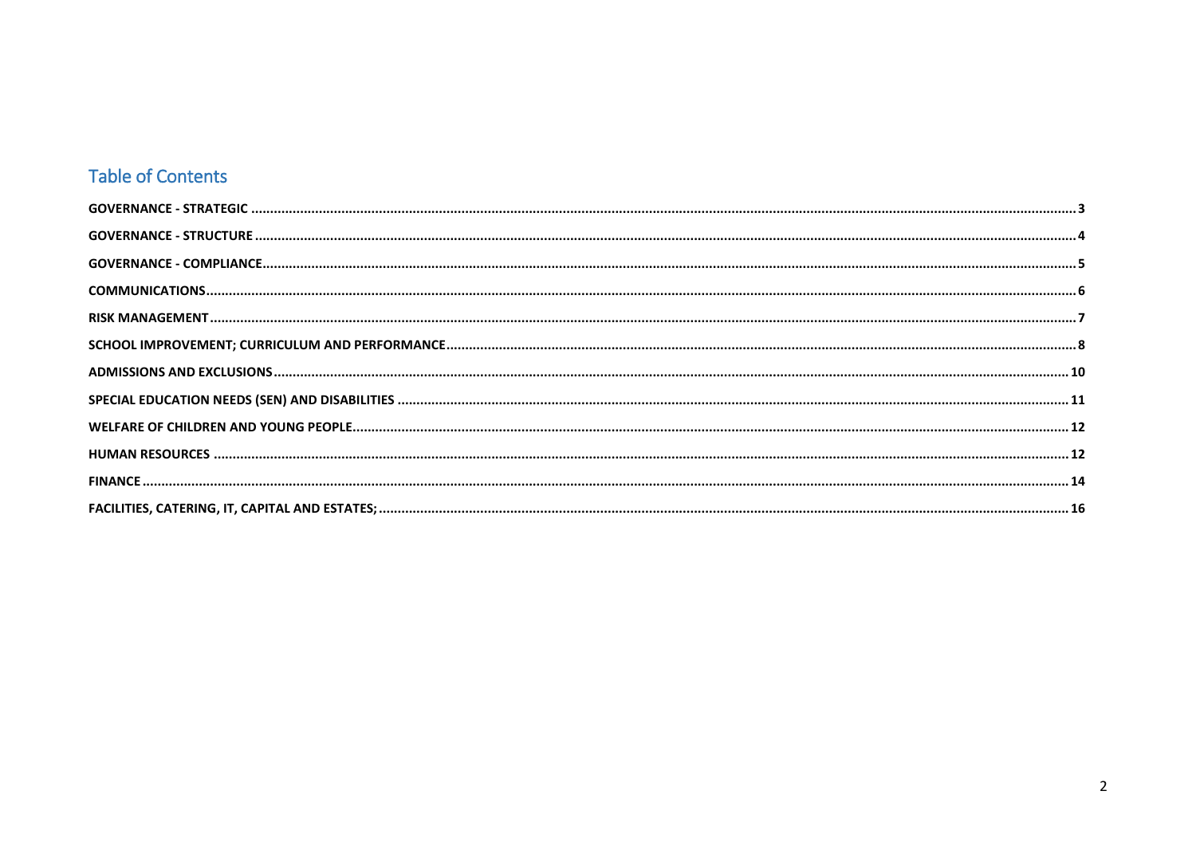## **Table of Contents**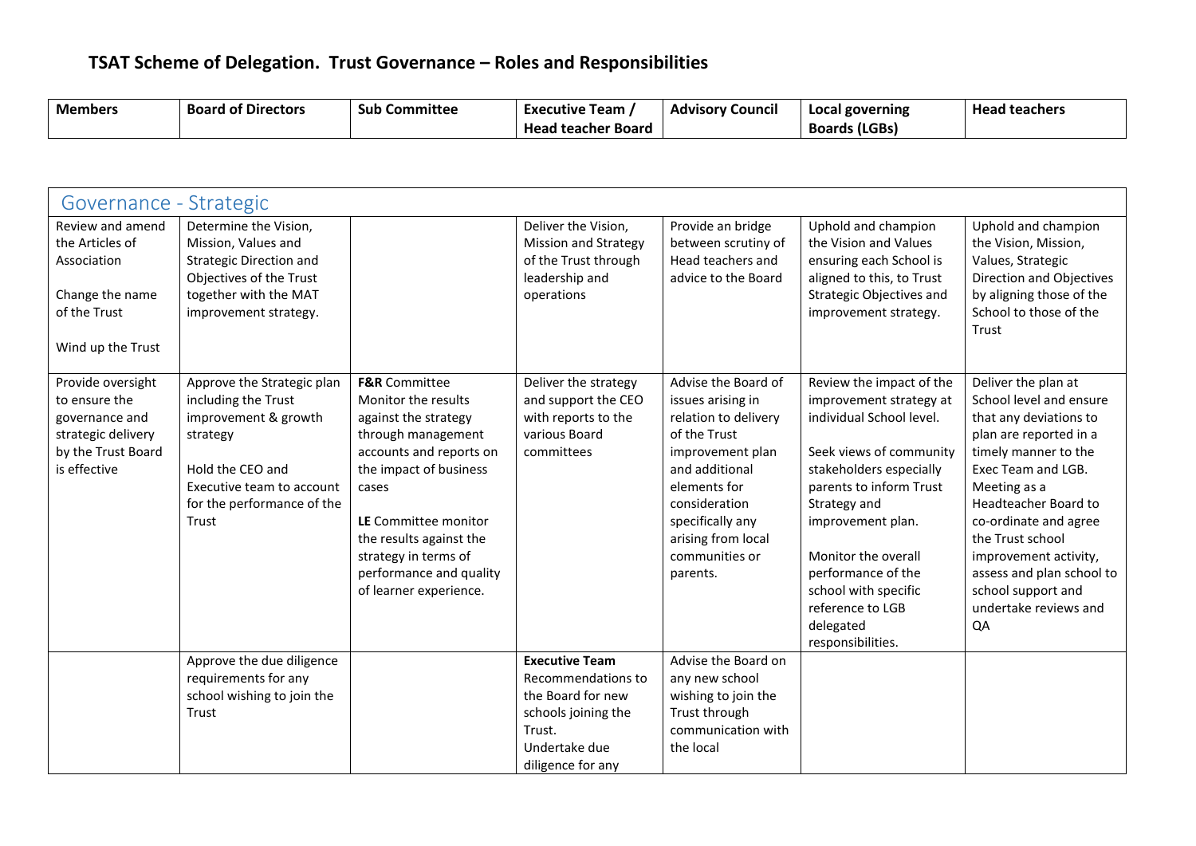## **TSAT Scheme of Delegation. Trust Governance – Roles and Responsibilities**

| <b>Members</b> | <b>Board of Directors</b> | <b>Sub Committee</b> | Team<br>Executive         | $\bullet$<br><b>Advisory Council</b> | Local governing      | <b>Head teachers</b> |
|----------------|---------------------------|----------------------|---------------------------|--------------------------------------|----------------------|----------------------|
|                |                           |                      | <b>Head teacher Board</b> |                                      | <b>Boards (LGBs)</b> |                      |

<span id="page-2-0"></span>

| Governance - Strategic                                                                                           |                                                                                                                                                                               |                                                                                                                                                                                                                                                                                             |                                                                                                                                         |                                                                                                                                                                                                                                 |                                                                                                                                                                                                                                                                                                                                  |                                                                                                                                                                                                                                                                                                                                                  |
|------------------------------------------------------------------------------------------------------------------|-------------------------------------------------------------------------------------------------------------------------------------------------------------------------------|---------------------------------------------------------------------------------------------------------------------------------------------------------------------------------------------------------------------------------------------------------------------------------------------|-----------------------------------------------------------------------------------------------------------------------------------------|---------------------------------------------------------------------------------------------------------------------------------------------------------------------------------------------------------------------------------|----------------------------------------------------------------------------------------------------------------------------------------------------------------------------------------------------------------------------------------------------------------------------------------------------------------------------------|--------------------------------------------------------------------------------------------------------------------------------------------------------------------------------------------------------------------------------------------------------------------------------------------------------------------------------------------------|
| Review and amend<br>the Articles of<br>Association<br>Change the name<br>of the Trust<br>Wind up the Trust       | Determine the Vision,<br>Mission, Values and<br><b>Strategic Direction and</b><br>Objectives of the Trust<br>together with the MAT<br>improvement strategy.                   |                                                                                                                                                                                                                                                                                             | Deliver the Vision,<br>Mission and Strategy<br>of the Trust through<br>leadership and<br>operations                                     | Provide an bridge<br>between scrutiny of<br>Head teachers and<br>advice to the Board                                                                                                                                            | Uphold and champion<br>the Vision and Values<br>ensuring each School is<br>aligned to this, to Trust<br><b>Strategic Objectives and</b><br>improvement strategy.                                                                                                                                                                 | Uphold and champion<br>the Vision, Mission,<br>Values, Strategic<br>Direction and Objectives<br>by aligning those of the<br>School to those of the<br>Trust                                                                                                                                                                                      |
| Provide oversight<br>to ensure the<br>governance and<br>strategic delivery<br>by the Trust Board<br>is effective | Approve the Strategic plan<br>including the Trust<br>improvement & growth<br>strategy<br>Hold the CEO and<br>Executive team to account<br>for the performance of the<br>Trust | <b>F&amp;R</b> Committee<br>Monitor the results<br>against the strategy<br>through management<br>accounts and reports on<br>the impact of business<br>cases<br>LE Committee monitor<br>the results against the<br>strategy in terms of<br>performance and quality<br>of learner experience. | Deliver the strategy<br>and support the CEO<br>with reports to the<br>various Board<br>committees                                       | Advise the Board of<br>issues arising in<br>relation to delivery<br>of the Trust<br>improvement plan<br>and additional<br>elements for<br>consideration<br>specifically any<br>arising from local<br>communities or<br>parents. | Review the impact of the<br>improvement strategy at<br>individual School level.<br>Seek views of community<br>stakeholders especially<br>parents to inform Trust<br>Strategy and<br>improvement plan.<br>Monitor the overall<br>performance of the<br>school with specific<br>reference to LGB<br>delegated<br>responsibilities. | Deliver the plan at<br>School level and ensure<br>that any deviations to<br>plan are reported in a<br>timely manner to the<br>Exec Team and LGB.<br>Meeting as a<br>Headteacher Board to<br>co-ordinate and agree<br>the Trust school<br>improvement activity,<br>assess and plan school to<br>school support and<br>undertake reviews and<br>QA |
|                                                                                                                  | Approve the due diligence<br>requirements for any<br>school wishing to join the<br>Trust                                                                                      |                                                                                                                                                                                                                                                                                             | <b>Executive Team</b><br>Recommendations to<br>the Board for new<br>schools joining the<br>Trust.<br>Undertake due<br>diligence for any | Advise the Board on<br>any new school<br>wishing to join the<br>Trust through<br>communication with<br>the local                                                                                                                |                                                                                                                                                                                                                                                                                                                                  |                                                                                                                                                                                                                                                                                                                                                  |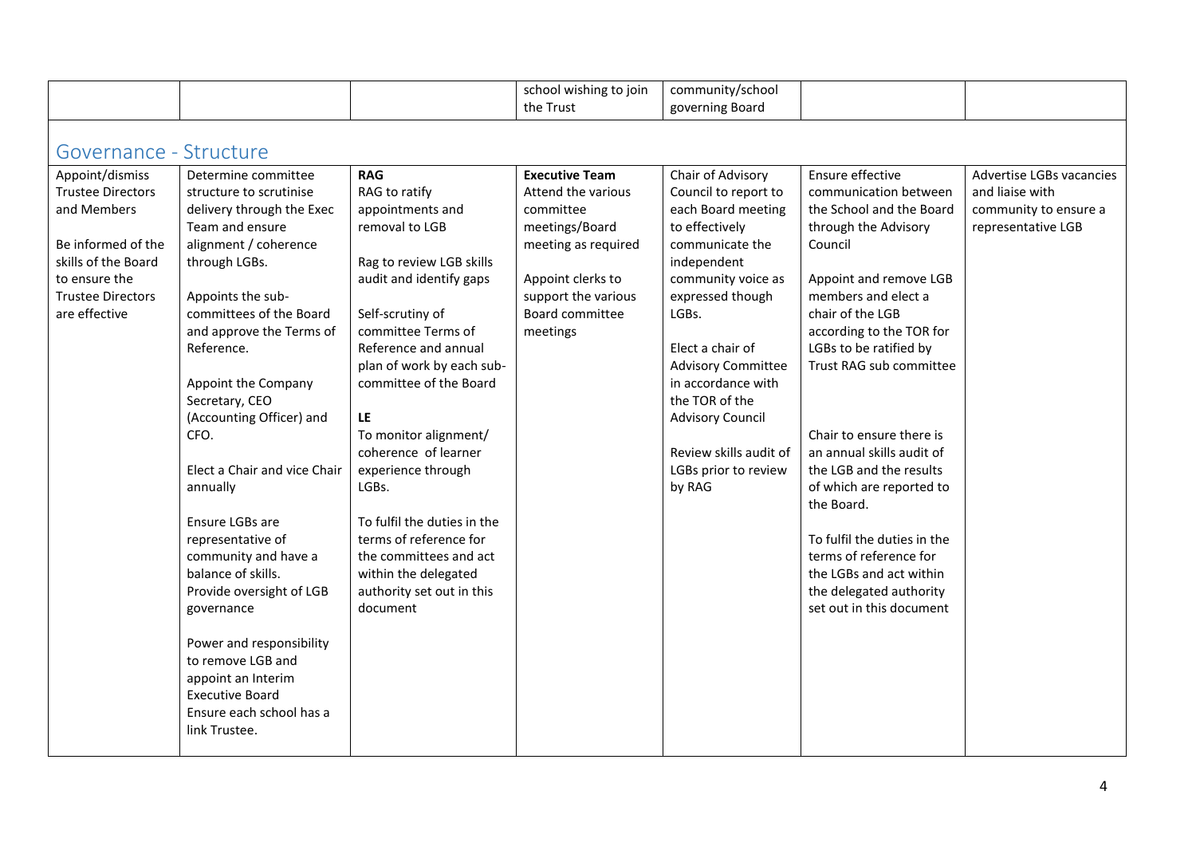<span id="page-3-0"></span>

|                          |                              |                             | school wishing to join | community/school          |                             |                          |
|--------------------------|------------------------------|-----------------------------|------------------------|---------------------------|-----------------------------|--------------------------|
|                          |                              |                             | the Trust              | governing Board           |                             |                          |
|                          |                              |                             |                        |                           |                             |                          |
| Governance - Structure   |                              |                             |                        |                           |                             |                          |
| Appoint/dismiss          | Determine committee          | <b>RAG</b>                  | <b>Executive Team</b>  | Chair of Advisory         | Ensure effective            | Advertise LGBs vacancies |
| <b>Trustee Directors</b> | structure to scrutinise      | RAG to ratify               | Attend the various     | Council to report to      | communication between       | and liaise with          |
| and Members              | delivery through the Exec    | appointments and            | committee              | each Board meeting        | the School and the Board    | community to ensure a    |
|                          | Team and ensure              | removal to LGB              | meetings/Board         | to effectively            | through the Advisory        | representative LGB       |
| Be informed of the       | alignment / coherence        |                             | meeting as required    | communicate the           | Council                     |                          |
| skills of the Board      | through LGBs.                | Rag to review LGB skills    |                        | independent               |                             |                          |
| to ensure the            |                              | audit and identify gaps     | Appoint clerks to      | community voice as        | Appoint and remove LGB      |                          |
| <b>Trustee Directors</b> | Appoints the sub-            |                             | support the various    | expressed though          | members and elect a         |                          |
| are effective            | committees of the Board      | Self-scrutiny of            | Board committee        | LGBs.                     | chair of the LGB            |                          |
|                          | and approve the Terms of     | committee Terms of          | meetings               |                           | according to the TOR for    |                          |
|                          | Reference.                   | Reference and annual        |                        | Elect a chair of          | LGBs to be ratified by      |                          |
|                          |                              | plan of work by each sub-   |                        | <b>Advisory Committee</b> | Trust RAG sub committee     |                          |
|                          | Appoint the Company          | committee of the Board      |                        | in accordance with        |                             |                          |
|                          | Secretary, CEO               |                             |                        | the TOR of the            |                             |                          |
|                          | (Accounting Officer) and     | LE.                         |                        | <b>Advisory Council</b>   |                             |                          |
|                          | CFO.                         | To monitor alignment/       |                        |                           | Chair to ensure there is    |                          |
|                          |                              | coherence of learner        |                        | Review skills audit of    | an annual skills audit of   |                          |
|                          | Elect a Chair and vice Chair | experience through          |                        | LGBs prior to review      | the LGB and the results     |                          |
|                          | annually                     | LGBs.                       |                        | by RAG                    | of which are reported to    |                          |
|                          |                              |                             |                        |                           | the Board.                  |                          |
|                          | Ensure LGBs are              | To fulfil the duties in the |                        |                           |                             |                          |
|                          | representative of            | terms of reference for      |                        |                           | To fulfil the duties in the |                          |
|                          | community and have a         | the committees and act      |                        |                           | terms of reference for      |                          |
|                          | balance of skills.           | within the delegated        |                        |                           | the LGBs and act within     |                          |
|                          | Provide oversight of LGB     | authority set out in this   |                        |                           | the delegated authority     |                          |
|                          | governance                   | document                    |                        |                           | set out in this document    |                          |
|                          |                              |                             |                        |                           |                             |                          |
|                          | Power and responsibility     |                             |                        |                           |                             |                          |
|                          | to remove LGB and            |                             |                        |                           |                             |                          |
|                          | appoint an Interim           |                             |                        |                           |                             |                          |
|                          | <b>Executive Board</b>       |                             |                        |                           |                             |                          |
|                          | Ensure each school has a     |                             |                        |                           |                             |                          |
|                          | link Trustee.                |                             |                        |                           |                             |                          |
|                          |                              |                             |                        |                           |                             |                          |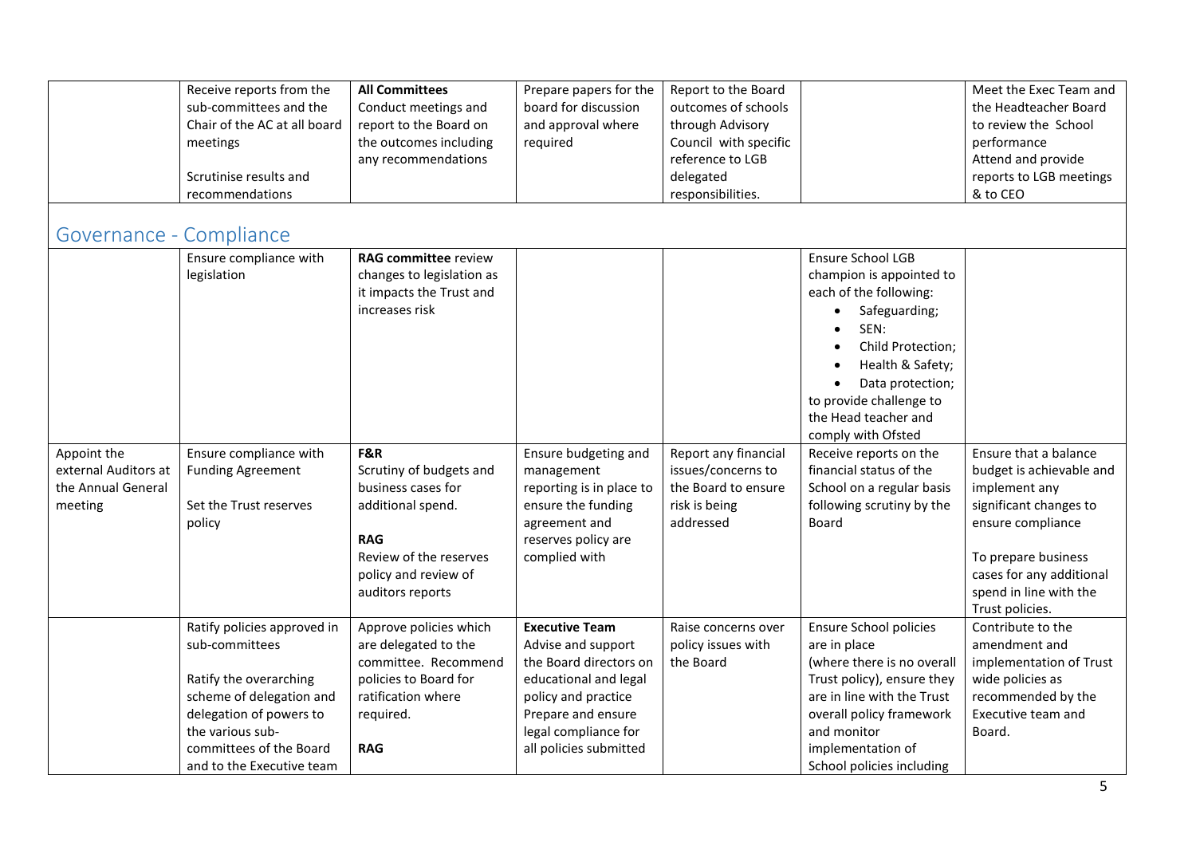| Receive reports from the     | <b>All Committees</b>  | Prepare papers for the | Report to the Board   | Meet the Exec Team and  |
|------------------------------|------------------------|------------------------|-----------------------|-------------------------|
| sub-committees and the       | Conduct meetings and   | board for discussion   | outcomes of schools   | the Headteacher Board   |
| Chair of the AC at all board | report to the Board on | and approval where     | through Advisory      | to review the School    |
| meetings                     | the outcomes including | reguired               | Council with specific | performance             |
|                              | any recommendations    |                        | reference to LGB      | Attend and provide      |
| Scrutinise results and       |                        |                        | delegated             | reports to LGB meetings |
| recommendations              |                        |                        | responsibilities.     | & to CEO                |

## <span id="page-4-0"></span>Governance - Compliance

|                      | Ensure compliance with<br>legislation | <b>RAG committee review</b><br>changes to legislation as |                          |                      | <b>Ensure School LGB</b><br>champion is appointed to |                                      |
|----------------------|---------------------------------------|----------------------------------------------------------|--------------------------|----------------------|------------------------------------------------------|--------------------------------------|
|                      |                                       | it impacts the Trust and                                 |                          |                      | each of the following:                               |                                      |
|                      |                                       | increases risk                                           |                          |                      | Safeguarding;                                        |                                      |
|                      |                                       |                                                          |                          |                      | SEN:                                                 |                                      |
|                      |                                       |                                                          |                          |                      | Child Protection;                                    |                                      |
|                      |                                       |                                                          |                          |                      | Health & Safety;                                     |                                      |
|                      |                                       |                                                          |                          |                      | Data protection;                                     |                                      |
|                      |                                       |                                                          |                          |                      | to provide challenge to                              |                                      |
|                      |                                       |                                                          |                          |                      | the Head teacher and                                 |                                      |
|                      |                                       |                                                          |                          |                      | comply with Ofsted                                   |                                      |
| Appoint the          | Ensure compliance with                | F&R                                                      | Ensure budgeting and     | Report any financial | Receive reports on the                               | Ensure that a balance                |
| external Auditors at | <b>Funding Agreement</b>              | Scrutiny of budgets and                                  | management               | issues/concerns to   | financial status of the                              | budget is achievable and             |
| the Annual General   |                                       | business cases for                                       | reporting is in place to | the Board to ensure  | School on a regular basis                            | implement any                        |
| meeting              | Set the Trust reserves                | additional spend.                                        | ensure the funding       | risk is being        | following scrutiny by the                            | significant changes to               |
|                      | policy                                |                                                          | agreement and            | addressed            | Board                                                | ensure compliance                    |
|                      |                                       | <b>RAG</b>                                               | reserves policy are      |                      |                                                      |                                      |
|                      |                                       | Review of the reserves                                   | complied with            |                      |                                                      | To prepare business                  |
|                      |                                       | policy and review of                                     |                          |                      |                                                      | cases for any additional             |
|                      |                                       | auditors reports                                         |                          |                      |                                                      | spend in line with the               |
|                      | Ratify policies approved in           | Approve policies which                                   | <b>Executive Team</b>    | Raise concerns over  | <b>Ensure School policies</b>                        | Trust policies.<br>Contribute to the |
|                      | sub-committees                        | are delegated to the                                     | Advise and support       | policy issues with   | are in place                                         | amendment and                        |
|                      |                                       | committee. Recommend                                     | the Board directors on   | the Board            | (where there is no overall                           | implementation of Trust              |
|                      | Ratify the overarching                | policies to Board for                                    | educational and legal    |                      | Trust policy), ensure they                           | wide policies as                     |
|                      | scheme of delegation and              | ratification where                                       | policy and practice      |                      | are in line with the Trust                           | recommended by the                   |
|                      | delegation of powers to               | required.                                                | Prepare and ensure       |                      | overall policy framework                             | Executive team and                   |
|                      | the various sub-                      |                                                          | legal compliance for     |                      | and monitor                                          | Board.                               |
|                      | committees of the Board               | <b>RAG</b>                                               | all policies submitted   |                      | implementation of                                    |                                      |
|                      | and to the Executive team             |                                                          |                          |                      | School policies including                            |                                      |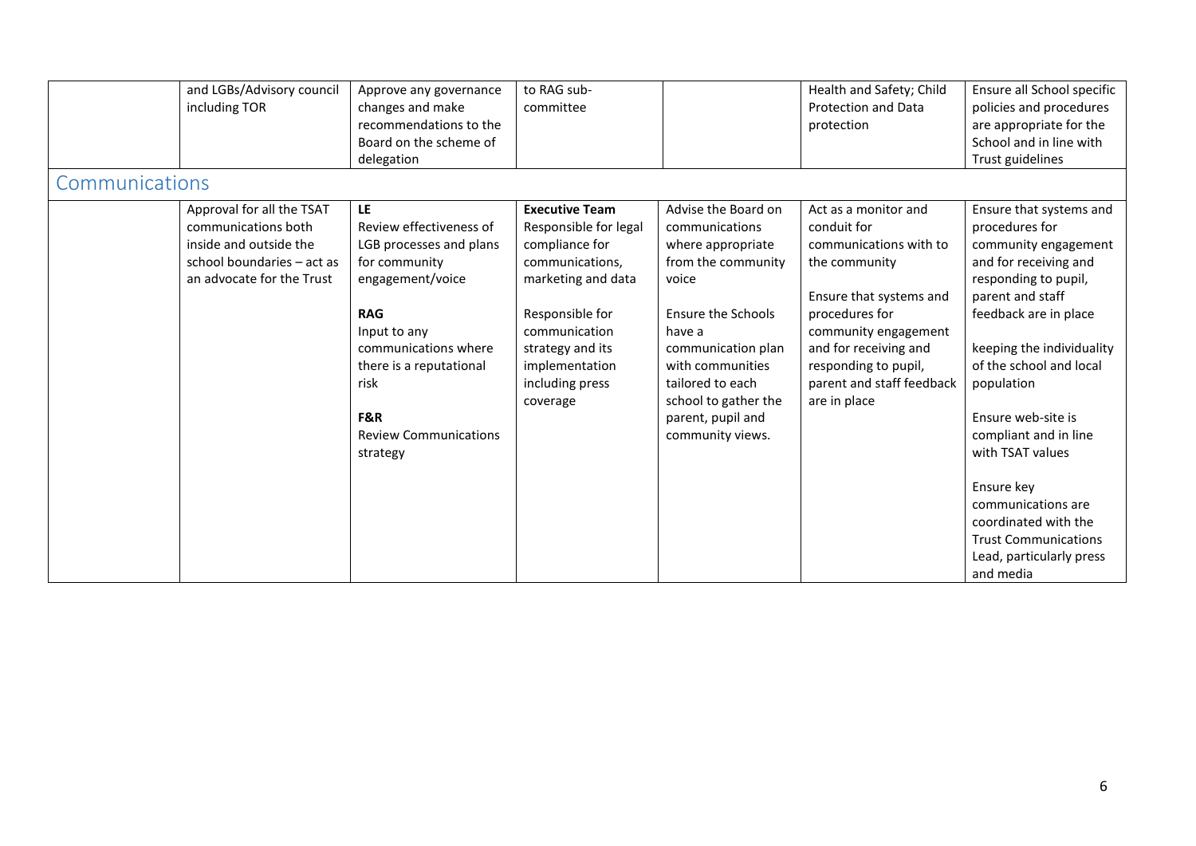<span id="page-5-0"></span>

|                | and LGBs/Advisory council  | Approve any governance       | to RAG sub-           |                           | Health and Safety; Child   | Ensure all School specific  |
|----------------|----------------------------|------------------------------|-----------------------|---------------------------|----------------------------|-----------------------------|
|                | including TOR              | changes and make             | committee             |                           | <b>Protection and Data</b> | policies and procedures     |
|                |                            | recommendations to the       |                       |                           | protection                 | are appropriate for the     |
|                |                            | Board on the scheme of       |                       |                           |                            | School and in line with     |
|                |                            | delegation                   |                       |                           |                            | Trust guidelines            |
| Communications |                            |                              |                       |                           |                            |                             |
|                | Approval for all the TSAT  | LE.                          | <b>Executive Team</b> | Advise the Board on       | Act as a monitor and       | Ensure that systems and     |
|                | communications both        | Review effectiveness of      | Responsible for legal | communications            | conduit for                | procedures for              |
|                | inside and outside the     | LGB processes and plans      | compliance for        | where appropriate         | communications with to     | community engagement        |
|                | school boundaries - act as | for community                | communications,       | from the community        | the community              | and for receiving and       |
|                | an advocate for the Trust  | engagement/voice             | marketing and data    | voice                     |                            | responding to pupil,        |
|                |                            |                              |                       |                           | Ensure that systems and    | parent and staff            |
|                |                            | <b>RAG</b>                   | Responsible for       | <b>Ensure the Schools</b> | procedures for             | feedback are in place       |
|                |                            | Input to any                 | communication         | have a                    | community engagement       |                             |
|                |                            | communications where         | strategy and its      | communication plan        | and for receiving and      | keeping the individuality   |
|                |                            | there is a reputational      | implementation        | with communities          | responding to pupil,       | of the school and local     |
|                |                            | risk                         | including press       | tailored to each          | parent and staff feedback  | population                  |
|                |                            |                              | coverage              | school to gather the      | are in place               |                             |
|                |                            | F&R                          |                       | parent, pupil and         |                            | Ensure web-site is          |
|                |                            | <b>Review Communications</b> |                       | community views.          |                            | compliant and in line       |
|                |                            | strategy                     |                       |                           |                            | with TSAT values            |
|                |                            |                              |                       |                           |                            |                             |
|                |                            |                              |                       |                           |                            | Ensure key                  |
|                |                            |                              |                       |                           |                            | communications are          |
|                |                            |                              |                       |                           |                            | coordinated with the        |
|                |                            |                              |                       |                           |                            | <b>Trust Communications</b> |
|                |                            |                              |                       |                           |                            | Lead, particularly press    |
|                |                            |                              |                       |                           |                            | and media                   |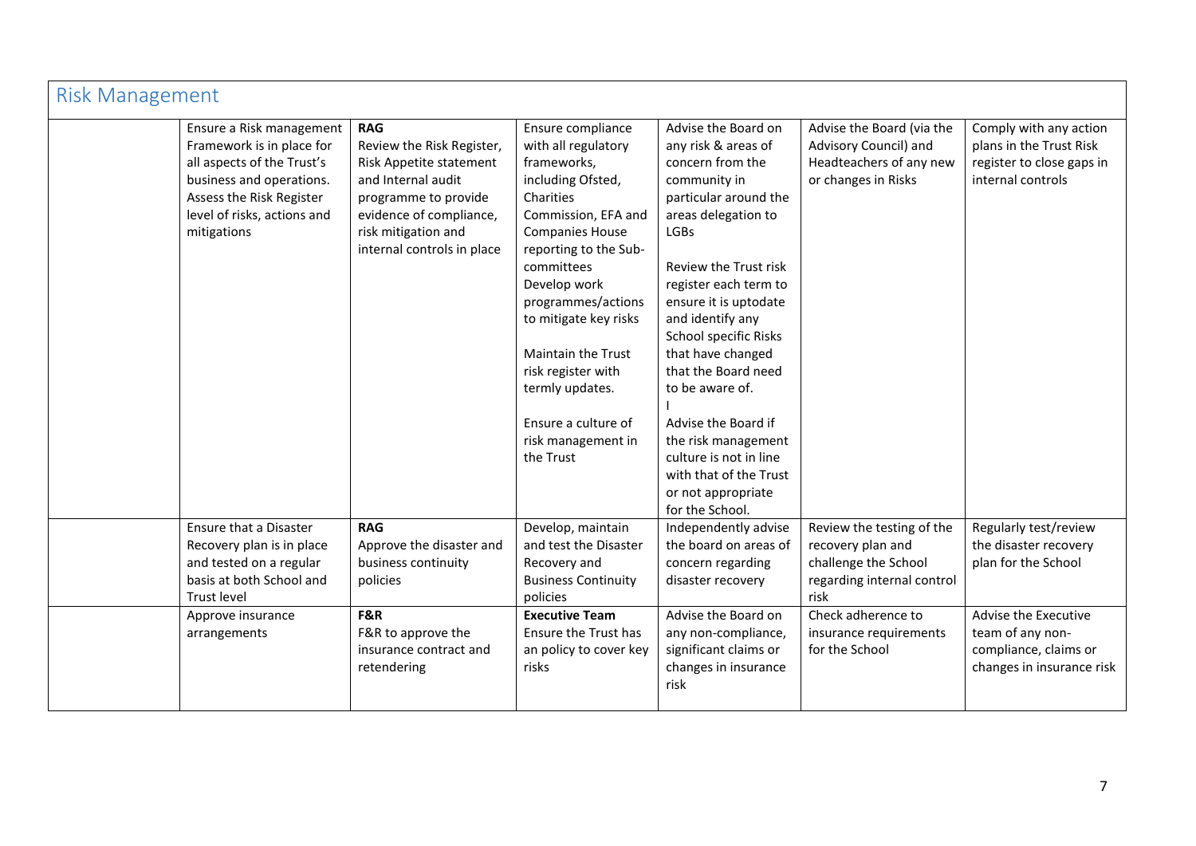<span id="page-6-0"></span>

| <b>Risk Management</b>                                                                                                                                                                    |                                                                                                                                                                                                  |                                                                                                                                                                                                                                                                                                                                                                                  |                                                                                                                                                                                                                                                                                                                                                                                                                                                                     |                                                                                                                                                                                |                                                                                                                                                                         |
|-------------------------------------------------------------------------------------------------------------------------------------------------------------------------------------------|--------------------------------------------------------------------------------------------------------------------------------------------------------------------------------------------------|----------------------------------------------------------------------------------------------------------------------------------------------------------------------------------------------------------------------------------------------------------------------------------------------------------------------------------------------------------------------------------|---------------------------------------------------------------------------------------------------------------------------------------------------------------------------------------------------------------------------------------------------------------------------------------------------------------------------------------------------------------------------------------------------------------------------------------------------------------------|--------------------------------------------------------------------------------------------------------------------------------------------------------------------------------|-------------------------------------------------------------------------------------------------------------------------------------------------------------------------|
| Ensure a Risk management<br>Framework is in place for<br>all aspects of the Trust's<br>business and operations.<br>Assess the Risk Register<br>level of risks, actions and<br>mitigations | <b>RAG</b><br>Review the Risk Register,<br>Risk Appetite statement<br>and Internal audit<br>programme to provide<br>evidence of compliance,<br>risk mitigation and<br>internal controls in place | Ensure compliance<br>with all regulatory<br>frameworks,<br>including Ofsted,<br>Charities<br>Commission, EFA and<br><b>Companies House</b><br>reporting to the Sub-<br>committees<br>Develop work<br>programmes/actions<br>to mitigate key risks<br><b>Maintain the Trust</b><br>risk register with<br>termly updates.<br>Ensure a culture of<br>risk management in<br>the Trust | Advise the Board on<br>any risk & areas of<br>concern from the<br>community in<br>particular around the<br>areas delegation to<br><b>LGBs</b><br><b>Review the Trust risk</b><br>register each term to<br>ensure it is uptodate<br>and identify any<br>School specific Risks<br>that have changed<br>that the Board need<br>to be aware of.<br>Advise the Board if<br>the risk management<br>culture is not in line<br>with that of the Trust<br>or not appropriate | Advise the Board (via the<br>Advisory Council) and<br>Headteachers of any new<br>or changes in Risks                                                                           | Comply with any action<br>plans in the Trust Risk<br>register to close gaps in<br>internal controls                                                                     |
| Ensure that a Disaster<br>Recovery plan is in place<br>and tested on a regular<br>basis at both School and<br>Trust level<br>Approve insurance<br>arrangements                            | <b>RAG</b><br>Approve the disaster and<br>business continuity<br>policies<br>F&R<br>F&R to approve the<br>insurance contract and<br>retendering                                                  | Develop, maintain<br>and test the Disaster<br>Recovery and<br><b>Business Continuity</b><br>policies<br><b>Executive Team</b><br>Ensure the Trust has<br>an policy to cover key<br>risks                                                                                                                                                                                         | for the School.<br>Independently advise<br>the board on areas of<br>concern regarding<br>disaster recovery<br>Advise the Board on<br>any non-compliance,<br>significant claims or<br>changes in insurance<br>risk                                                                                                                                                                                                                                                   | Review the testing of the<br>recovery plan and<br>challenge the School<br>regarding internal control<br>risk<br>Check adherence to<br>insurance requirements<br>for the School | Regularly test/review<br>the disaster recovery<br>plan for the School<br>Advise the Executive<br>team of any non-<br>compliance, claims or<br>changes in insurance risk |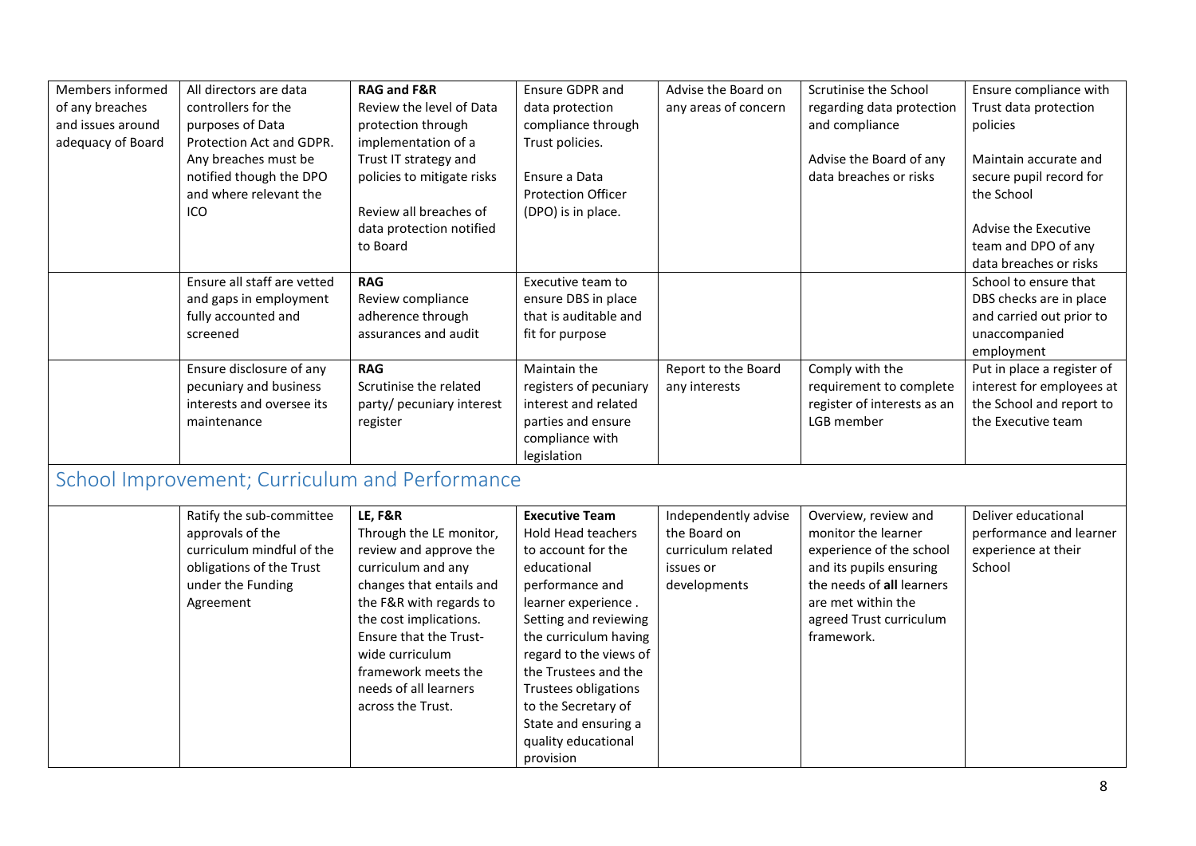<span id="page-7-0"></span>

| Members informed  | All directors are data                         | <b>RAG and F&amp;R</b>        | Ensure GDPR and           | Advise the Board on  | Scrutinise the School       | Ensure compliance with     |
|-------------------|------------------------------------------------|-------------------------------|---------------------------|----------------------|-----------------------------|----------------------------|
| of any breaches   | controllers for the                            | Review the level of Data      | data protection           | any areas of concern | regarding data protection   | Trust data protection      |
| and issues around | purposes of Data                               | protection through            | compliance through        |                      | and compliance              | policies                   |
| adequacy of Board | Protection Act and GDPR.                       | implementation of a           | Trust policies.           |                      |                             |                            |
|                   | Any breaches must be                           | Trust IT strategy and         |                           |                      | Advise the Board of any     | Maintain accurate and      |
|                   | notified though the DPO                        | policies to mitigate risks    | Ensure a Data             |                      | data breaches or risks      | secure pupil record for    |
|                   | and where relevant the                         |                               | <b>Protection Officer</b> |                      |                             | the School                 |
|                   | ICO                                            | Review all breaches of        | (DPO) is in place.        |                      |                             |                            |
|                   |                                                | data protection notified      |                           |                      |                             | Advise the Executive       |
|                   |                                                | to Board                      |                           |                      |                             |                            |
|                   |                                                |                               |                           |                      |                             | team and DPO of any        |
|                   |                                                |                               |                           |                      |                             | data breaches or risks     |
|                   | Ensure all staff are vetted                    | <b>RAG</b>                    | Executive team to         |                      |                             | School to ensure that      |
|                   | and gaps in employment                         | Review compliance             | ensure DBS in place       |                      |                             | DBS checks are in place    |
|                   | fully accounted and                            | adherence through             | that is auditable and     |                      |                             | and carried out prior to   |
|                   | screened                                       | assurances and audit          | fit for purpose           |                      |                             | unaccompanied              |
|                   |                                                |                               |                           |                      |                             | employment                 |
|                   | Ensure disclosure of any                       | <b>RAG</b>                    | Maintain the              | Report to the Board  | Comply with the             | Put in place a register of |
|                   | pecuniary and business                         | Scrutinise the related        | registers of pecuniary    | any interests        | requirement to complete     | interest for employees at  |
|                   | interests and oversee its                      | party/ pecuniary interest     | interest and related      |                      | register of interests as an | the School and report to   |
|                   | maintenance                                    | register                      | parties and ensure        |                      | LGB member                  | the Executive team         |
|                   |                                                |                               | compliance with           |                      |                             |                            |
|                   |                                                |                               | legislation               |                      |                             |                            |
|                   |                                                |                               |                           |                      |                             |                            |
|                   | School Improvement; Curriculum and Performance |                               |                           |                      |                             |                            |
|                   |                                                |                               |                           |                      |                             |                            |
|                   | Ratify the sub-committee                       | <b>LE, F&amp;R</b>            | <b>Executive Team</b>     | Independently advise | Overview, review and        | Deliver educational        |
|                   | approvals of the                               | Through the LE monitor,       | <b>Hold Head teachers</b> | the Board on         | monitor the learner         | performance and learner    |
|                   | curriculum mindful of the                      | review and approve the        | to account for the        | curriculum related   | experience of the school    | experience at their        |
|                   | obligations of the Trust                       | curriculum and any            | educational               | issues or            | and its pupils ensuring     | School                     |
|                   | under the Funding                              | changes that entails and      | performance and           | developments         | the needs of all learners   |                            |
|                   | Agreement                                      | the F&R with regards to       | learner experience.       |                      | are met within the          |                            |
|                   |                                                | the cost implications.        | Setting and reviewing     |                      | agreed Trust curriculum     |                            |
|                   |                                                | <b>Ensure that the Trust-</b> | the curriculum having     |                      | framework.                  |                            |
|                   |                                                | wide curriculum               | regard to the views of    |                      |                             |                            |
|                   |                                                | framework meets the           | the Trustees and the      |                      |                             |                            |
|                   |                                                | needs of all learners         |                           |                      |                             |                            |
|                   |                                                |                               | Trustees obligations      |                      |                             |                            |
|                   |                                                | across the Trust.             | to the Secretary of       |                      |                             |                            |
|                   |                                                |                               | State and ensuring a      |                      |                             |                            |
|                   |                                                |                               | quality educational       |                      |                             |                            |
|                   |                                                |                               | provision                 |                      |                             |                            |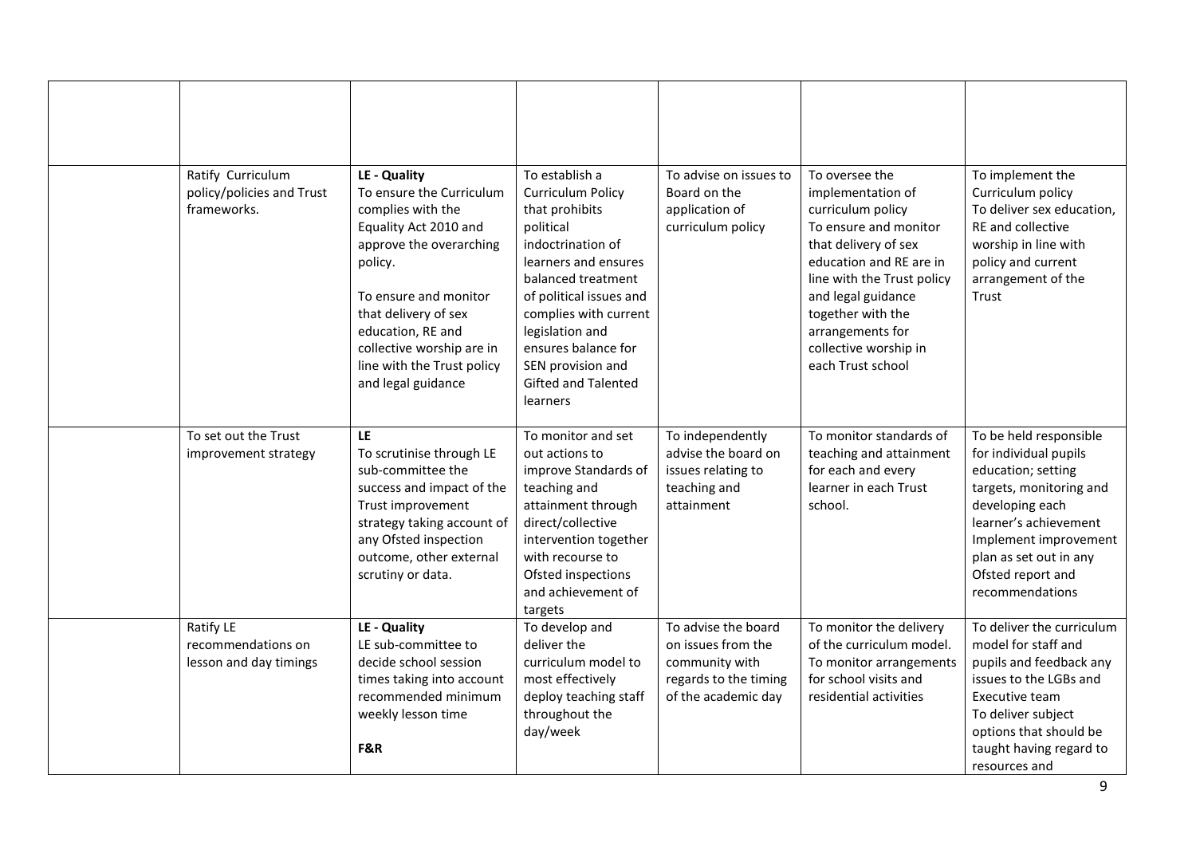| Ratify Curriculum<br>policy/policies and Trust<br>frameworks. | LE - Quality<br>To ensure the Curriculum<br>complies with the<br>Equality Act 2010 and<br>approve the overarching<br>policy.<br>To ensure and monitor<br>that delivery of sex<br>education, RE and<br>collective worship are in<br>line with the Trust policy<br>and legal guidance | To establish a<br><b>Curriculum Policy</b><br>that prohibits<br>political<br>indoctrination of<br>learners and ensures<br>balanced treatment<br>of political issues and<br>complies with current<br>legislation and<br>ensures balance for<br>SEN provision and<br>Gifted and Talented<br><b>learners</b> | To advise on issues to<br>Board on the<br>application of<br>curriculum policy                               | To oversee the<br>implementation of<br>curriculum policy<br>To ensure and monitor<br>that delivery of sex<br>education and RE are in<br>line with the Trust policy<br>and legal guidance<br>together with the<br>arrangements for<br>collective worship in<br>each Trust school | To implement the<br>Curriculum policy<br>To deliver sex education,<br>RE and collective<br>worship in line with<br>policy and current<br>arrangement of the<br>Trust                                                                    |
|---------------------------------------------------------------|-------------------------------------------------------------------------------------------------------------------------------------------------------------------------------------------------------------------------------------------------------------------------------------|-----------------------------------------------------------------------------------------------------------------------------------------------------------------------------------------------------------------------------------------------------------------------------------------------------------|-------------------------------------------------------------------------------------------------------------|---------------------------------------------------------------------------------------------------------------------------------------------------------------------------------------------------------------------------------------------------------------------------------|-----------------------------------------------------------------------------------------------------------------------------------------------------------------------------------------------------------------------------------------|
| To set out the Trust<br>improvement strategy                  | LE<br>To scrutinise through LE<br>sub-committee the<br>success and impact of the<br>Trust improvement<br>strategy taking account of<br>any Ofsted inspection<br>outcome, other external<br>scrutiny or data.                                                                        | To monitor and set<br>out actions to<br>improve Standards of<br>teaching and<br>attainment through<br>direct/collective<br>intervention together<br>with recourse to<br>Ofsted inspections<br>and achievement of<br>targets                                                                               | To independently<br>advise the board on<br>issues relating to<br>teaching and<br>attainment                 | To monitor standards of<br>teaching and attainment<br>for each and every<br>learner in each Trust<br>school.                                                                                                                                                                    | To be held responsible<br>for individual pupils<br>education; setting<br>targets, monitoring and<br>developing each<br>learner's achievement<br>Implement improvement<br>plan as set out in any<br>Ofsted report and<br>recommendations |
| Ratify LE<br>recommendations on<br>lesson and day timings     | LE - Quality<br>LE sub-committee to<br>decide school session<br>times taking into account<br>recommended minimum<br>weekly lesson time<br>F&R                                                                                                                                       | To develop and<br>deliver the<br>curriculum model to<br>most effectively<br>deploy teaching staff<br>throughout the<br>day/week                                                                                                                                                                           | To advise the board<br>on issues from the<br>community with<br>regards to the timing<br>of the academic day | To monitor the delivery<br>of the curriculum model.<br>To monitor arrangements<br>for school visits and<br>residential activities                                                                                                                                               | To deliver the curriculum<br>model for staff and<br>pupils and feedback any<br>issues to the LGBs and<br>Executive team<br>To deliver subject<br>options that should be<br>taught having regard to<br>resources and                     |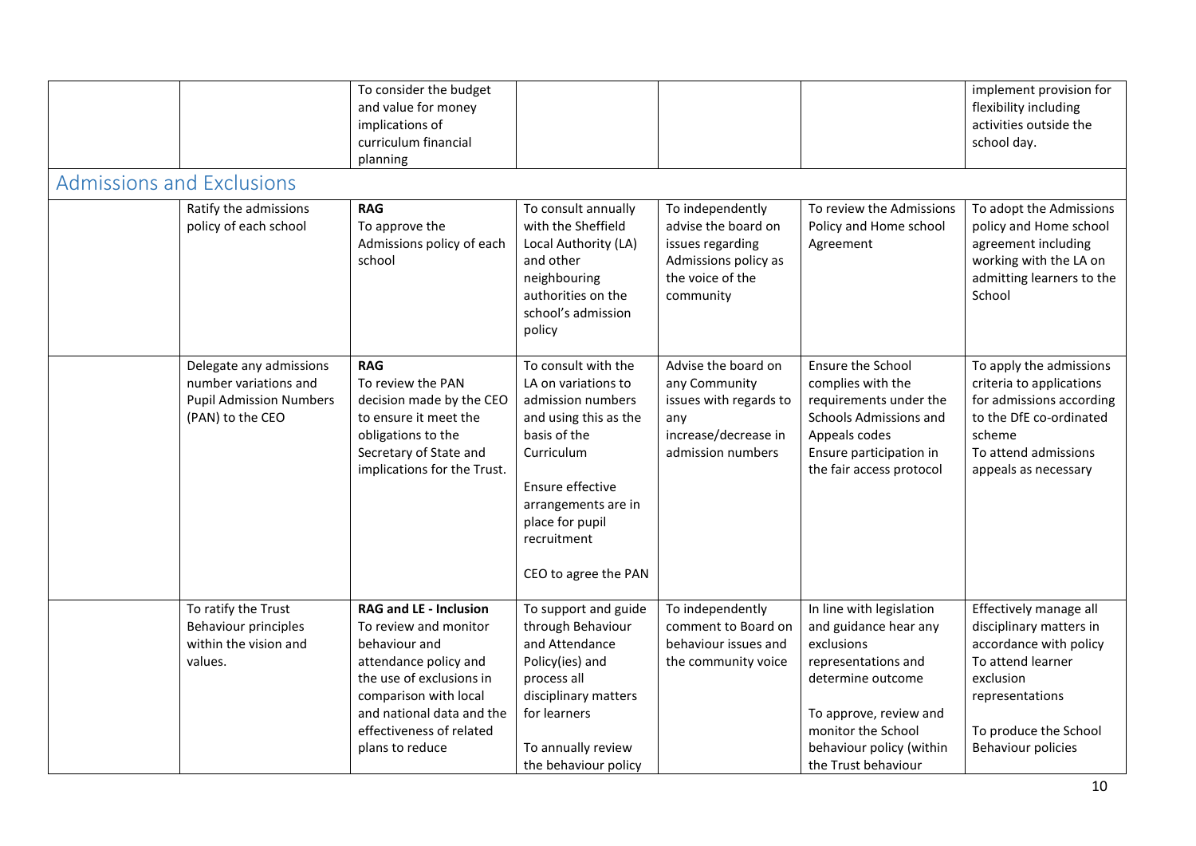<span id="page-9-0"></span>

|                                  | To consider the budget<br>and value for money<br>implications of<br>curriculum financial<br>planning                                                                                                                              |                                                                                                        |                                                                                                                                                                                                                             |                                                                                                                      |                                                                                                                                                                                                                | implement provision for<br>flexibility including<br>activities outside the<br>school day.                                                                                       |
|----------------------------------|-----------------------------------------------------------------------------------------------------------------------------------------------------------------------------------------------------------------------------------|--------------------------------------------------------------------------------------------------------|-----------------------------------------------------------------------------------------------------------------------------------------------------------------------------------------------------------------------------|----------------------------------------------------------------------------------------------------------------------|----------------------------------------------------------------------------------------------------------------------------------------------------------------------------------------------------------------|---------------------------------------------------------------------------------------------------------------------------------------------------------------------------------|
| <b>Admissions and Exclusions</b> |                                                                                                                                                                                                                                   |                                                                                                        |                                                                                                                                                                                                                             |                                                                                                                      |                                                                                                                                                                                                                |                                                                                                                                                                                 |
|                                  | <b>RAG</b><br>To approve the<br>Admissions policy of each<br>school                                                                                                                                                               | Ratify the admissions<br>policy of each school                                                         | To consult annually<br>with the Sheffield<br>Local Authority (LA)<br>and other<br>neighbouring<br>authorities on the<br>school's admission<br>policy                                                                        | To independently<br>advise the board on<br>issues regarding<br>Admissions policy as<br>the voice of the<br>community | To review the Admissions<br>Policy and Home school<br>Agreement                                                                                                                                                | To adopt the Admissions<br>policy and Home school<br>agreement including<br>working with the LA on<br>admitting learners to the<br>School                                       |
|                                  | <b>RAG</b><br>To review the PAN<br>decision made by the CEO<br>to ensure it meet the<br>obligations to the<br>Secretary of State and<br>implications for the Trust.                                                               | Delegate any admissions<br>number variations and<br><b>Pupil Admission Numbers</b><br>(PAN) to the CEO | To consult with the<br>LA on variations to<br>admission numbers<br>and using this as the<br>basis of the<br>Curriculum<br>Ensure effective<br>arrangements are in<br>place for pupil<br>recruitment<br>CEO to agree the PAN | Advise the board on<br>any Community<br>issues with regards to<br>any<br>increase/decrease in<br>admission numbers   | <b>Ensure the School</b><br>complies with the<br>requirements under the<br>Schools Admissions and<br>Appeals codes<br>Ensure participation in<br>the fair access protocol                                      | To apply the admissions<br>criteria to applications<br>for admissions according<br>to the DfE co-ordinated<br>scheme<br>To attend admissions<br>appeals as necessary            |
| values.                          | <b>RAG and LE - Inclusion</b><br>To review and monitor<br>behaviour and<br>attendance policy and<br>the use of exclusions in<br>comparison with local<br>and national data and the<br>effectiveness of related<br>plans to reduce | To ratify the Trust<br>Behaviour principles<br>within the vision and                                   | To support and guide<br>through Behaviour<br>and Attendance<br>Policy(ies) and<br>process all<br>disciplinary matters<br>for learners<br>To annually review<br>the behaviour policy                                         | To independently<br>comment to Board on<br>behaviour issues and<br>the community voice                               | In line with legislation<br>and guidance hear any<br>exclusions<br>representations and<br>determine outcome<br>To approve, review and<br>monitor the School<br>behaviour policy (within<br>the Trust behaviour | Effectively manage all<br>disciplinary matters in<br>accordance with policy<br>To attend learner<br>exclusion<br>representations<br>To produce the School<br>Behaviour policies |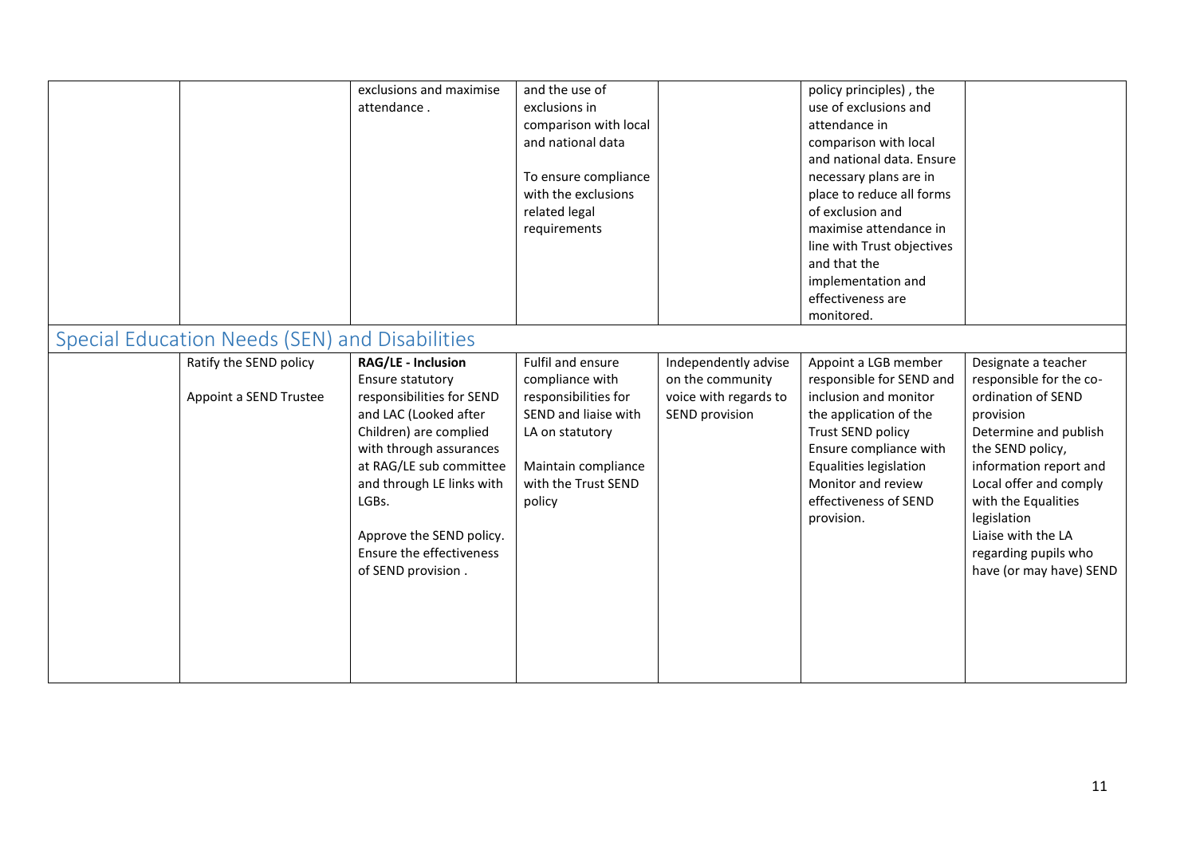<span id="page-10-0"></span>

|                                                  | exclusions and maximise<br>attendance.                                                                                                                                                                                                                                                           | and the use of<br>exclusions in<br>comparison with local<br>and national data<br>To ensure compliance<br>with the exclusions<br>related legal<br>requirements   |                                                                                     | policy principles), the<br>use of exclusions and<br>attendance in<br>comparison with local<br>and national data. Ensure<br>necessary plans are in<br>place to reduce all forms<br>of exclusion and<br>maximise attendance in<br>line with Trust objectives<br>and that the<br>implementation and<br>effectiveness are<br>monitored. |                                                                                                                                                                                                                                                                                                   |
|--------------------------------------------------|--------------------------------------------------------------------------------------------------------------------------------------------------------------------------------------------------------------------------------------------------------------------------------------------------|-----------------------------------------------------------------------------------------------------------------------------------------------------------------|-------------------------------------------------------------------------------------|-------------------------------------------------------------------------------------------------------------------------------------------------------------------------------------------------------------------------------------------------------------------------------------------------------------------------------------|---------------------------------------------------------------------------------------------------------------------------------------------------------------------------------------------------------------------------------------------------------------------------------------------------|
| Special Education Needs (SEN) and Disabilities   |                                                                                                                                                                                                                                                                                                  |                                                                                                                                                                 |                                                                                     |                                                                                                                                                                                                                                                                                                                                     |                                                                                                                                                                                                                                                                                                   |
| Ratify the SEND policy<br>Appoint a SEND Trustee | RAG/LE - Inclusion<br>Ensure statutory<br>responsibilities for SEND<br>and LAC (Looked after<br>Children) are complied<br>with through assurances<br>at RAG/LE sub committee<br>and through LE links with<br>LGBs.<br>Approve the SEND policy.<br>Ensure the effectiveness<br>of SEND provision. | Fulfil and ensure<br>compliance with<br>responsibilities for<br>SEND and liaise with<br>LA on statutory<br>Maintain compliance<br>with the Trust SEND<br>policy | Independently advise<br>on the community<br>voice with regards to<br>SEND provision | Appoint a LGB member<br>responsible for SEND and<br>inclusion and monitor<br>the application of the<br>Trust SEND policy<br>Ensure compliance with<br><b>Equalities legislation</b><br>Monitor and review<br>effectiveness of SEND<br>provision.                                                                                    | Designate a teacher<br>responsible for the co-<br>ordination of SEND<br>provision<br>Determine and publish<br>the SEND policy,<br>information report and<br>Local offer and comply<br>with the Equalities<br>legislation<br>Liaise with the LA<br>regarding pupils who<br>have (or may have) SEND |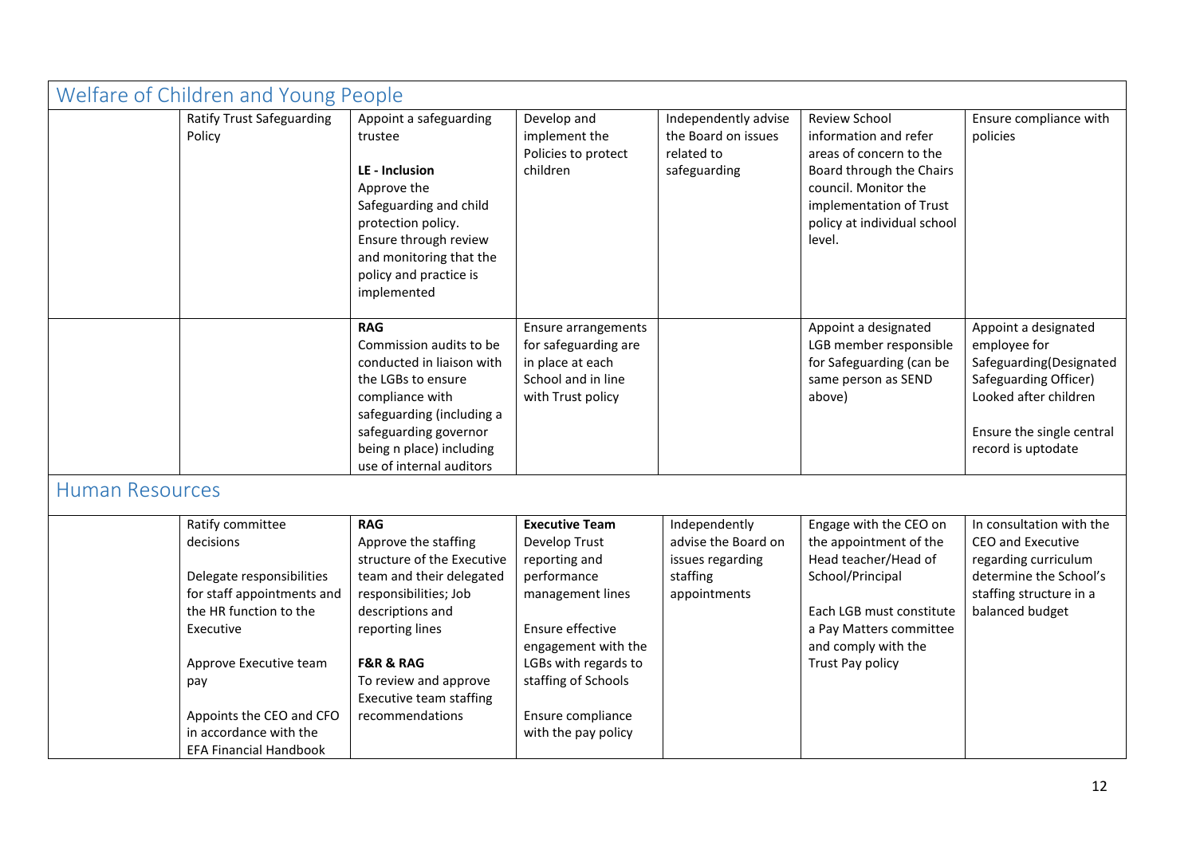<span id="page-11-1"></span><span id="page-11-0"></span>

| Welfare of Children and Young People |                                                                                                                                                                                                                                                                        |                                                                                                                                                                                                                        |                                                                                                                                                                                                                                  |                                                                                      |                                                                                                                                                                                                  |                                                                                                                                                                      |
|--------------------------------------|------------------------------------------------------------------------------------------------------------------------------------------------------------------------------------------------------------------------------------------------------------------------|------------------------------------------------------------------------------------------------------------------------------------------------------------------------------------------------------------------------|----------------------------------------------------------------------------------------------------------------------------------------------------------------------------------------------------------------------------------|--------------------------------------------------------------------------------------|--------------------------------------------------------------------------------------------------------------------------------------------------------------------------------------------------|----------------------------------------------------------------------------------------------------------------------------------------------------------------------|
| Policy                               | Appoint a safeguarding<br>trustee<br>LE - Inclusion<br>Approve the<br>Safeguarding and child<br>protection policy.<br>Ensure through review<br>and monitoring that the<br>policy and practice is<br>implemented                                                        | <b>Ratify Trust Safeguarding</b>                                                                                                                                                                                       | Develop and<br>implement the<br>Policies to protect<br>children                                                                                                                                                                  | Independently advise<br>the Board on issues<br>related to<br>safeguarding            | <b>Review School</b><br>information and refer<br>areas of concern to the<br>Board through the Chairs<br>council. Monitor the<br>implementation of Trust<br>policy at individual school<br>level. | Ensure compliance with<br>policies                                                                                                                                   |
|                                      | <b>RAG</b><br>Commission audits to be<br>conducted in liaison with<br>the LGBs to ensure<br>compliance with<br>safeguarding (including a<br>safeguarding governor<br>being n place) including<br>use of internal auditors                                              |                                                                                                                                                                                                                        | Ensure arrangements<br>for safeguarding are<br>in place at each<br>School and in line<br>with Trust policy                                                                                                                       |                                                                                      | Appoint a designated<br>LGB member responsible<br>for Safeguarding (can be<br>same person as SEND<br>above)                                                                                      | Appoint a designated<br>employee for<br>Safeguarding(Designated<br>Safeguarding Officer)<br>Looked after children<br>Ensure the single central<br>record is uptodate |
| <b>Human Resources</b>               |                                                                                                                                                                                                                                                                        |                                                                                                                                                                                                                        |                                                                                                                                                                                                                                  |                                                                                      |                                                                                                                                                                                                  |                                                                                                                                                                      |
| decisions<br>Executive<br>pay        | <b>RAG</b><br>Approve the staffing<br>structure of the Executive<br>team and their delegated<br>responsibilities; Job<br>descriptions and<br>reporting lines<br><b>F&amp;R &amp; RAG</b><br>To review and approve<br><b>Executive team staffing</b><br>recommendations | Ratify committee<br>Delegate responsibilities<br>for staff appointments and<br>the HR function to the<br>Approve Executive team<br>Appoints the CEO and CFO<br>in accordance with the<br><b>EFA Financial Handbook</b> | <b>Executive Team</b><br>Develop Trust<br>reporting and<br>performance<br>management lines<br>Ensure effective<br>engagement with the<br>LGBs with regards to<br>staffing of Schools<br>Ensure compliance<br>with the pay policy | Independently<br>advise the Board on<br>issues regarding<br>staffing<br>appointments | Engage with the CEO on<br>the appointment of the<br>Head teacher/Head of<br>School/Principal<br>Each LGB must constitute<br>a Pay Matters committee<br>and comply with the<br>Trust Pay policy   | In consultation with the<br>CEO and Executive<br>regarding curriculum<br>determine the School's<br>staffing structure in a<br>balanced budget                        |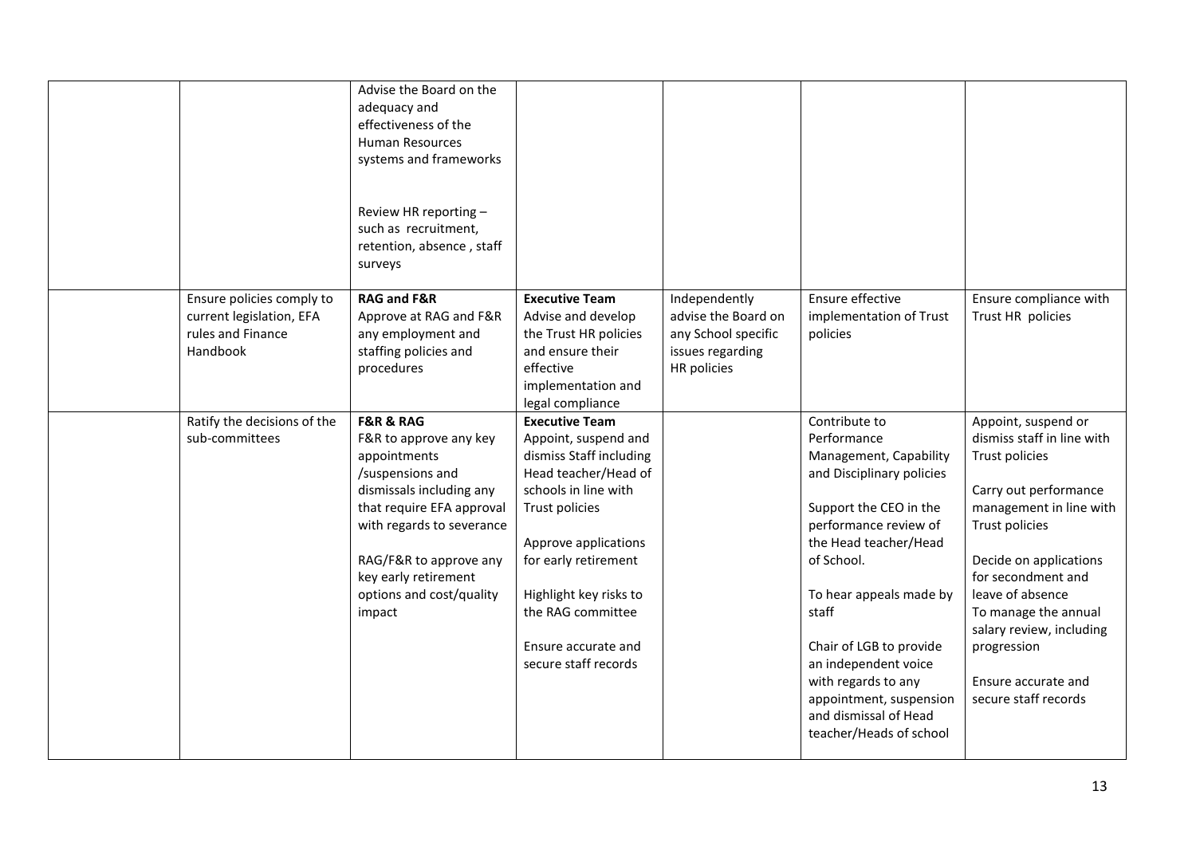|                                                                                        | Advise the Board on the<br>adequacy and<br>effectiveness of the<br><b>Human Resources</b><br>systems and frameworks<br>Review HR reporting -<br>such as recruitment,<br>retention, absence, staff<br>surveys                                                         |                                                                                                                                                                                                                                                                                          |                                                                                                |                                                                                                                                                                                                                                                                                                                                                                            |                                                                                                                                                                                                                                                                                                                                 |
|----------------------------------------------------------------------------------------|----------------------------------------------------------------------------------------------------------------------------------------------------------------------------------------------------------------------------------------------------------------------|------------------------------------------------------------------------------------------------------------------------------------------------------------------------------------------------------------------------------------------------------------------------------------------|------------------------------------------------------------------------------------------------|----------------------------------------------------------------------------------------------------------------------------------------------------------------------------------------------------------------------------------------------------------------------------------------------------------------------------------------------------------------------------|---------------------------------------------------------------------------------------------------------------------------------------------------------------------------------------------------------------------------------------------------------------------------------------------------------------------------------|
| Ensure policies comply to<br>current legislation, EFA<br>rules and Finance<br>Handbook | <b>RAG and F&amp;R</b><br>Approve at RAG and F&R<br>any employment and<br>staffing policies and<br>procedures                                                                                                                                                        | <b>Executive Team</b><br>Advise and develop<br>the Trust HR policies<br>and ensure their<br>effective<br>implementation and<br>legal compliance                                                                                                                                          | Independently<br>advise the Board on<br>any School specific<br>issues regarding<br>HR policies | Ensure effective<br>implementation of Trust<br>policies                                                                                                                                                                                                                                                                                                                    | Ensure compliance with<br>Trust HR policies                                                                                                                                                                                                                                                                                     |
| Ratify the decisions of the<br>sub-committees                                          | <b>F&amp;R &amp; RAG</b><br>F&R to approve any key<br>appointments<br>/suspensions and<br>dismissals including any<br>that require EFA approval<br>with regards to severance<br>RAG/F&R to approve any<br>key early retirement<br>options and cost/quality<br>impact | <b>Executive Team</b><br>Appoint, suspend and<br>dismiss Staff including<br>Head teacher/Head of<br>schools in line with<br>Trust policies<br>Approve applications<br>for early retirement<br>Highlight key risks to<br>the RAG committee<br>Ensure accurate and<br>secure staff records |                                                                                                | Contribute to<br>Performance<br>Management, Capability<br>and Disciplinary policies<br>Support the CEO in the<br>performance review of<br>the Head teacher/Head<br>of School.<br>To hear appeals made by<br>staff<br>Chair of LGB to provide<br>an independent voice<br>with regards to any<br>appointment, suspension<br>and dismissal of Head<br>teacher/Heads of school | Appoint, suspend or<br>dismiss staff in line with<br>Trust policies<br>Carry out performance<br>management in line with<br>Trust policies<br>Decide on applications<br>for secondment and<br>leave of absence<br>To manage the annual<br>salary review, including<br>progression<br>Ensure accurate and<br>secure staff records |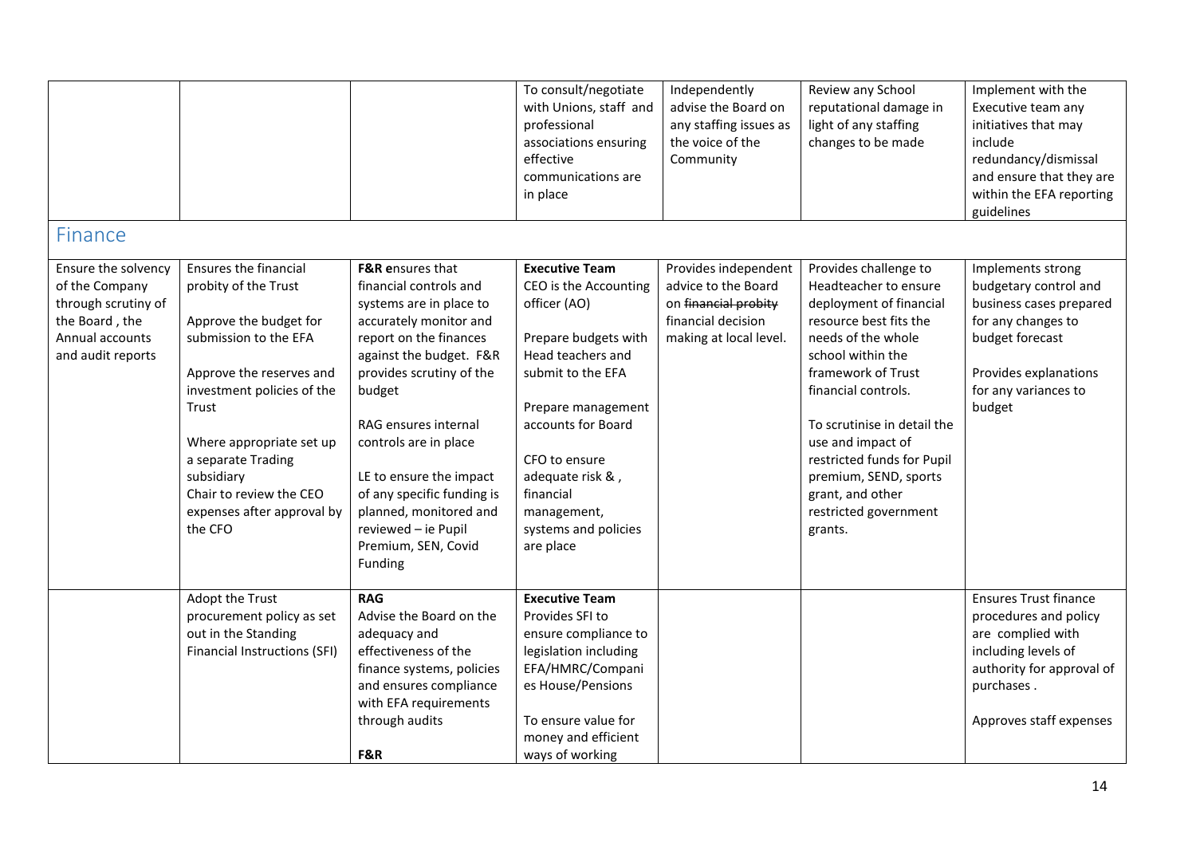<span id="page-13-0"></span>

|                                                                                                                        |                                                                                                                                                                                                                                                                                                         |                                                                                                                                                                                                                                                                                                                                                                                         | To consult/negotiate<br>with Unions, staff and<br>professional<br>associations ensuring<br>effective<br>communications are<br>in place                                                                                                                                             | Independently<br>advise the Board on<br>any staffing issues as<br>the voice of the<br>Community                     | Review any School<br>reputational damage in<br>light of any staffing<br>changes to be made                                                                                                                                                                                                                                                                     | Implement with the<br>Executive team any<br>initiatives that may<br>include<br>redundancy/dismissal<br>and ensure that they are<br>within the EFA reporting<br>guidelines |
|------------------------------------------------------------------------------------------------------------------------|---------------------------------------------------------------------------------------------------------------------------------------------------------------------------------------------------------------------------------------------------------------------------------------------------------|-----------------------------------------------------------------------------------------------------------------------------------------------------------------------------------------------------------------------------------------------------------------------------------------------------------------------------------------------------------------------------------------|------------------------------------------------------------------------------------------------------------------------------------------------------------------------------------------------------------------------------------------------------------------------------------|---------------------------------------------------------------------------------------------------------------------|----------------------------------------------------------------------------------------------------------------------------------------------------------------------------------------------------------------------------------------------------------------------------------------------------------------------------------------------------------------|---------------------------------------------------------------------------------------------------------------------------------------------------------------------------|
| Finance                                                                                                                |                                                                                                                                                                                                                                                                                                         |                                                                                                                                                                                                                                                                                                                                                                                         |                                                                                                                                                                                                                                                                                    |                                                                                                                     |                                                                                                                                                                                                                                                                                                                                                                |                                                                                                                                                                           |
| Ensure the solvency<br>of the Company<br>through scrutiny of<br>the Board, the<br>Annual accounts<br>and audit reports | Ensures the financial<br>probity of the Trust<br>Approve the budget for<br>submission to the EFA<br>Approve the reserves and<br>investment policies of the<br>Trust<br>Where appropriate set up<br>a separate Trading<br>subsidiary<br>Chair to review the CEO<br>expenses after approval by<br>the CFO | F&R ensures that<br>financial controls and<br>systems are in place to<br>accurately monitor and<br>report on the finances<br>against the budget. F&R<br>provides scrutiny of the<br>budget<br>RAG ensures internal<br>controls are in place<br>LE to ensure the impact<br>of any specific funding is<br>planned, monitored and<br>reviewed - ie Pupil<br>Premium, SEN, Covid<br>Funding | <b>Executive Team</b><br>CEO is the Accounting<br>officer (AO)<br>Prepare budgets with<br>Head teachers and<br>submit to the EFA<br>Prepare management<br>accounts for Board<br>CFO to ensure<br>adequate risk &,<br>financial<br>management,<br>systems and policies<br>are place | Provides independent<br>advice to the Board<br>on financial probity<br>financial decision<br>making at local level. | Provides challenge to<br>Headteacher to ensure<br>deployment of financial<br>resource best fits the<br>needs of the whole<br>school within the<br>framework of Trust<br>financial controls.<br>To scrutinise in detail the<br>use and impact of<br>restricted funds for Pupil<br>premium, SEND, sports<br>grant, and other<br>restricted government<br>grants. | Implements strong<br>budgetary control and<br>business cases prepared<br>for any changes to<br>budget forecast<br>Provides explanations<br>for any variances to<br>budget |
|                                                                                                                        | Adopt the Trust<br>procurement policy as set<br>out in the Standing<br>Financial Instructions (SFI)                                                                                                                                                                                                     | <b>RAG</b><br>Advise the Board on the<br>adequacy and<br>effectiveness of the<br>finance systems, policies<br>and ensures compliance<br>with EFA requirements<br>through audits<br>F&R                                                                                                                                                                                                  | <b>Executive Team</b><br>Provides SFI to<br>ensure compliance to<br>legislation including<br>EFA/HMRC/Compani<br>es House/Pensions<br>To ensure value for<br>money and efficient<br>ways of working                                                                                |                                                                                                                     |                                                                                                                                                                                                                                                                                                                                                                | <b>Ensures Trust finance</b><br>procedures and policy<br>are complied with<br>including levels of<br>authority for approval of<br>purchases.<br>Approves staff expenses   |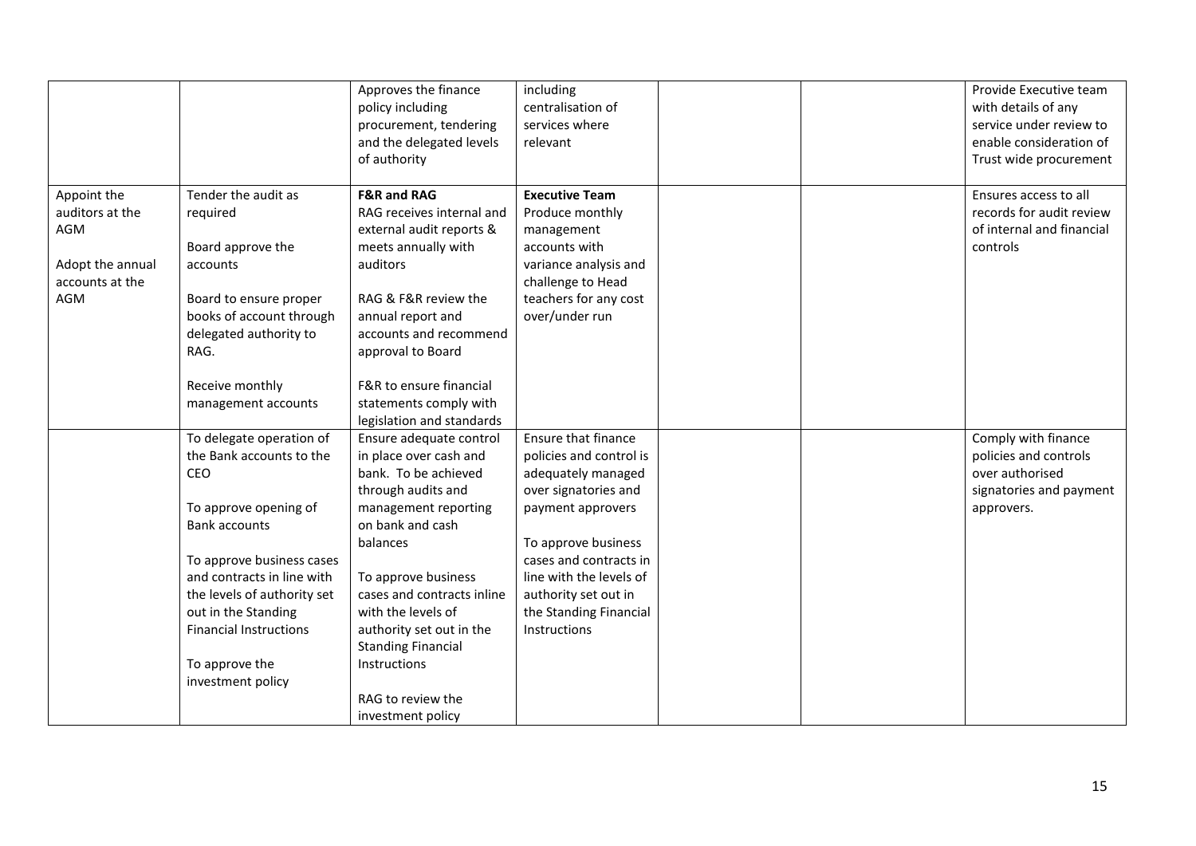|                                                                                     |                                                                                                                                                                                       | Approves the finance<br>policy including<br>procurement, tendering<br>and the delegated levels<br>of authority                                                                                                 | including<br>centralisation of<br>services where<br>relevant                                                                                                     |  | Provide Executive team<br>with details of any<br>service under review to<br>enable consideration of<br>Trust wide procurement |
|-------------------------------------------------------------------------------------|---------------------------------------------------------------------------------------------------------------------------------------------------------------------------------------|----------------------------------------------------------------------------------------------------------------------------------------------------------------------------------------------------------------|------------------------------------------------------------------------------------------------------------------------------------------------------------------|--|-------------------------------------------------------------------------------------------------------------------------------|
| Appoint the<br>auditors at the<br>AGM<br>Adopt the annual<br>accounts at the<br>AGM | Tender the audit as<br>required<br>Board approve the<br>accounts<br>Board to ensure proper<br>books of account through<br>delegated authority to<br>RAG.                              | <b>F&amp;R and RAG</b><br>RAG receives internal and<br>external audit reports &<br>meets annually with<br>auditors<br>RAG & F&R review the<br>annual report and<br>accounts and recommend<br>approval to Board | <b>Executive Team</b><br>Produce monthly<br>management<br>accounts with<br>variance analysis and<br>challenge to Head<br>teachers for any cost<br>over/under run |  | Ensures access to all<br>records for audit review<br>of internal and financial<br>controls                                    |
|                                                                                     | Receive monthly<br>management accounts                                                                                                                                                | F&R to ensure financial<br>statements comply with<br>legislation and standards                                                                                                                                 |                                                                                                                                                                  |  |                                                                                                                               |
|                                                                                     | To delegate operation of<br>the Bank accounts to the<br>CEO<br>To approve opening of<br><b>Bank accounts</b>                                                                          | Ensure adequate control<br>in place over cash and<br>bank. To be achieved<br>through audits and<br>management reporting<br>on bank and cash                                                                    | Ensure that finance<br>policies and control is<br>adequately managed<br>over signatories and<br>payment approvers                                                |  | Comply with finance<br>policies and controls<br>over authorised<br>signatories and payment<br>approvers.                      |
|                                                                                     | To approve business cases<br>and contracts in line with<br>the levels of authority set<br>out in the Standing<br><b>Financial Instructions</b><br>To approve the<br>investment policy | balances<br>To approve business<br>cases and contracts inline<br>with the levels of<br>authority set out in the<br><b>Standing Financial</b><br>Instructions<br>RAG to review the<br>investment policy         | To approve business<br>cases and contracts in<br>line with the levels of<br>authority set out in<br>the Standing Financial<br>Instructions                       |  |                                                                                                                               |